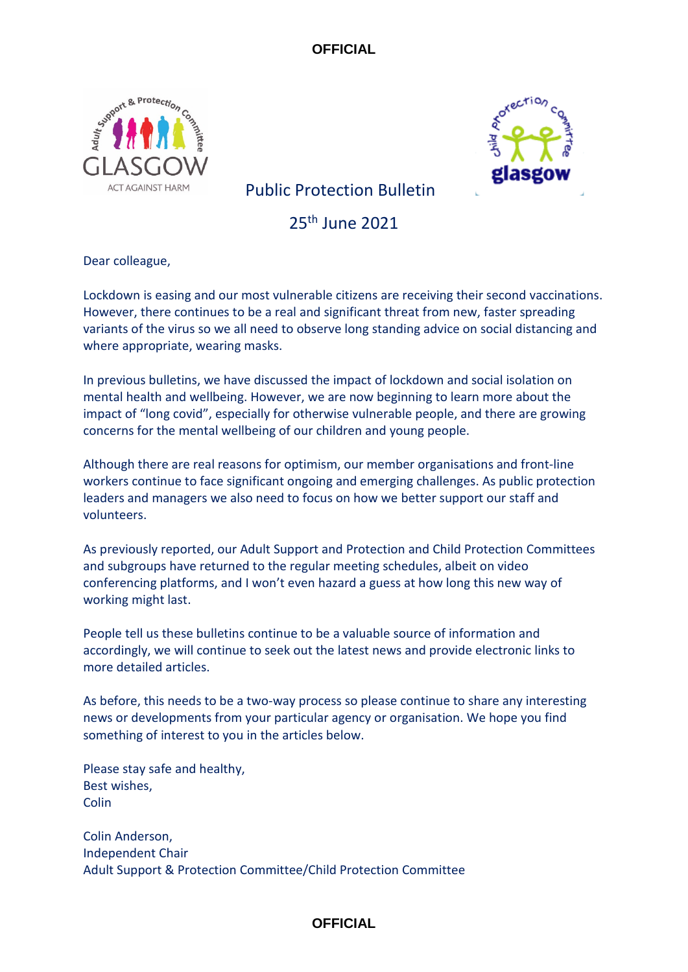



Public Protection Bulletin

25th June 2021

Dear colleague,

Lockdown is easing and our most vulnerable citizens are receiving their second vaccinations. However, there continues to be a real and significant threat from new, faster spreading variants of the virus so we all need to observe long standing advice on social distancing and where appropriate, wearing masks.

In previous bulletins, we have discussed the impact of lockdown and social isolation on mental health and wellbeing. However, we are now beginning to learn more about the impact of "long covid", especially for otherwise vulnerable people, and there are growing concerns for the mental wellbeing of our children and young people.

Although there are real reasons for optimism, our member organisations and front-line workers continue to face significant ongoing and emerging challenges. As public protection leaders and managers we also need to focus on how we better support our staff and volunteers.

As previously reported, our Adult Support and Protection and Child Protection Committees and subgroups have returned to the regular meeting schedules, albeit on video conferencing platforms, and I won't even hazard a guess at how long this new way of working might last.

People tell us these bulletins continue to be a valuable source of information and accordingly, we will continue to seek out the latest news and provide electronic links to more detailed articles.

As before, this needs to be a two-way process so please continue to share any interesting news or developments from your particular agency or organisation. We hope you find something of interest to you in the articles below.

Please stay safe and healthy, Best wishes, **Colin** 

Colin Anderson, Independent Chair Adult Support & Protection Committee/Child Protection Committee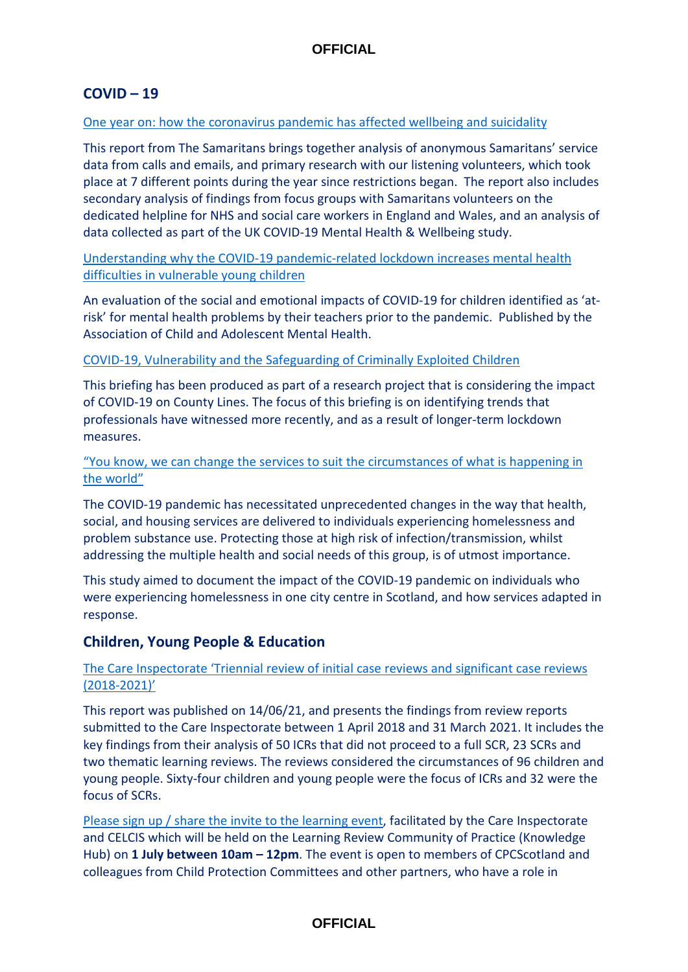## **COVID – 19**

#### [One year on: how the coronavirus pandemic has affected wellbeing and suicidality](https://media.samaritans.org/documents/Samaritans_Covid_1YearOn_Report_2021.pdf)

This report from The Samaritans brings together analysis of anonymous Samaritans' service data from calls and emails, and primary research with our listening volunteers, which took place at 7 different points during the year since restrictions began. The report also includes secondary analysis of findings from focus groups with Samaritans volunteers on the dedicated helpline for NHS and social care workers in England and Wales, and an analysis of data collected as part of the UK COVID-19 Mental Health & Wellbeing study.

[Understanding why the COVID-19 pandemic-related lockdown increases mental health](https://acamh.onlinelibrary.wiley.com/doi/10.1111/jcv2.12005)  [difficulties in vulnerable young children](https://acamh.onlinelibrary.wiley.com/doi/10.1111/jcv2.12005)

An evaluation of the social and emotional impacts of COVID-19 for children identified as 'atrisk' for mental health problems by their teachers prior to the pandemic. Published by the Association of Child and Adolescent Mental Health.

#### [COVID-19, Vulnerability and the Safeguarding of Criminally Exploited Children](https://www.nottingham.ac.uk/news/rise-violence-and-sexual-exploitation-children-young-people-county-lines)

This briefing has been produced as part of a research project that is considering the impact of COVID-19 on County Lines. The focus of this briefing is on identifying trends that professionals have witnessed more recently, and as a result of longer-term lockdown measures.

### ["You know, we can change the services to suit the circumstances of what is happening in](https://doi.org/10.1186/s12954-021-00508-1)  [the world"](https://doi.org/10.1186/s12954-021-00508-1)

The COVID-19 pandemic has necessitated unprecedented changes in the way that health, social, and housing services are delivered to individuals experiencing homelessness and problem substance use. Protecting those at high risk of infection/transmission, whilst addressing the multiple health and social needs of this group, is of utmost importance.

This study aimed to document the impact of the COVID-19 pandemic on individuals who were experiencing homelessness in one city centre in Scotland, and how services adapted in response.

## **Children, Young People & Education**

## [The Care Inspectorate 'Triennial review of initial case reviews and significant case reviews](https://www.careinspectorate.com/images/documents/6127/Triennial%20review%20of%20initial%20case%20reviews%20and%20significant%20case%20reviews%202018-2021.pdf)  [\(2018-2021\)'](https://www.careinspectorate.com/images/documents/6127/Triennial%20review%20of%20initial%20case%20reviews%20and%20significant%20case%20reviews%202018-2021.pdf)

This report was published on 14/06/21, and presents the findings from review reports submitted to the Care Inspectorate between 1 April 2018 and 31 March 2021. It includes the key findings from their analysis of 50 ICRs that did not proceed to a full SCR, 23 SCRs and two thematic learning reviews. The reviews considered the circumstances of 96 children and young people. Sixty-four children and young people were the focus of ICRs and 32 were the focus of SCRs.

[Please sign up / share the invite to the learning event,](https://eur02.safelinks.protection.outlook.com/?url=https%3A%2F%2Fforms.office.com%2FPages%2FResponsePage.aspx%3Fid%3DY1hH29mw4ke3P4nADYUedI0DoUQJ5iZBr7rpZLhJhupUN05RV0Q4TkZUQzUzVTVXSEI5ODM2UTlFVyQlQCN0PWcu&data=04%7C01%7Csusan.mitchell%40strath.ac.uk%7C2813f54c6d1b489b378808d9268bf4ff%7C631e0763153347eba5cd0457bee5944e%7C0%7C0%7C637583204838989188%7CUnknown%7CTWFpbGZsb3d8eyJWIjoiMC4wLjAwMDAiLCJQIjoiV2luMzIiLCJBTiI6Ik1haWwiLCJXVCI6Mn0%3D%7C1000&sdata=ScZVPgxd3H0IWx9XddgJdBkLXgnYeBJVXzqB2PklvYY%3D&reserved=0) facilitated by the Care Inspectorate and CELCIS which will be held on the Learning Review Community of Practice (Knowledge Hub) on **1 July between 10am – 12pm**. The event is open to members of CPCScotland and colleagues from Child Protection Committees and other partners, who have a role in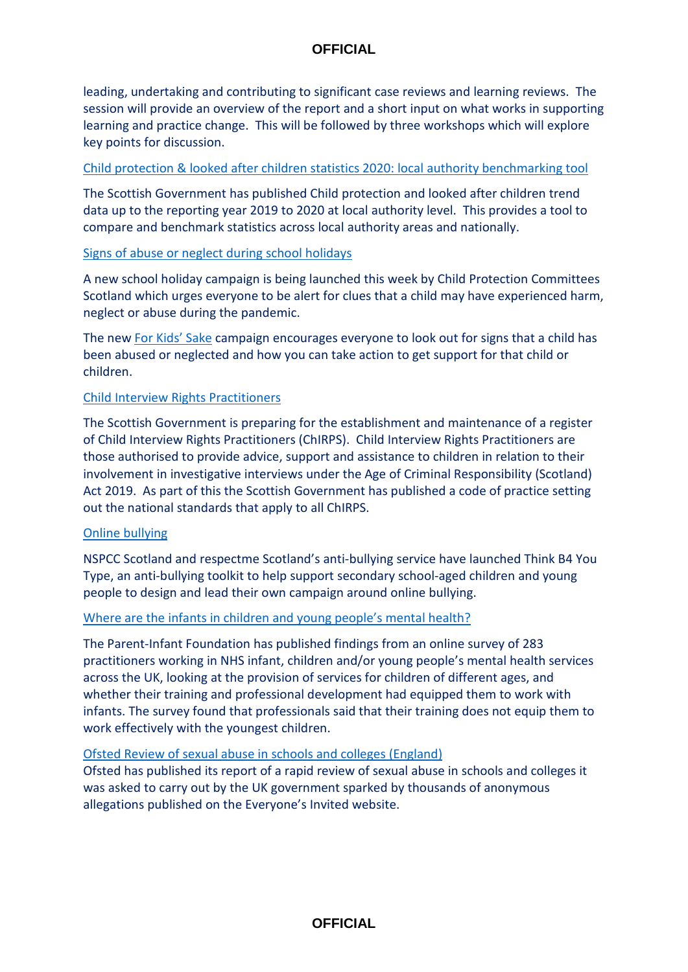leading, undertaking and contributing to significant case reviews and learning reviews. The session will provide an overview of the report and a short input on what works in supporting learning and practice change. This will be followed by three workshops which will explore key points for discussion.

## [Child protection & looked after children statistics 2020: local authority benchmarking tool](https://www.gov.scot/publications/looked-after-children-statistics-2020-local-authority-benchmarking-tool/)

The Scottish Government has published Child protection and looked after children trend data up to the reporting year 2019 to 2020 at local authority level. This provides a tool to compare and benchmark statistics across local authority areas and nationally.

## [Signs of abuse or neglect during school holidays](https://www.childprotection.scot/for-kids-sake/?utm_medium=email&utm_source=govdelivery)

A new school holiday campaign is being launched this week by Child Protection Committees Scotland which urges everyone to be alert for clues that a child may have experienced harm, neglect or abuse during the pandemic.

The new [For Kids' Sake](https://lnks.gd/l/eyJhbGciOiJIUzI1NiJ9.eyJidWxsZXRpbl9saW5rX2lkIjoxMTMsInVyaSI6ImJwMjpjbGljayIsImJ1bGxldGluX2lkIjoiMjAyMTA2MjIuNDIyNDM3NDEiLCJ1cmwiOiJodHRwczovL3d3dy5jaGlsZHByb3RlY3Rpb24uc2NvdC9mb3Ita2lkcy1zYWtlLz91dG1fbWVkaXVtPWVtYWlsJnV0bV9zb3VyY2U9Z292ZGVsaXZlcnkifQ.FZ8GK4uN7OrCSqGtNk2BlM1-habGjLrqb5dpvIPvc3M/s/1477172173/br/108243986597-l) campaign encourages everyone to look out for signs that a child has been abused or neglected and how you can take action to get support for that child or children.

## [Child Interview Rights Practitioners](https://www.gov.scot/publications/age-criminal-responsibility-scotland-act-2019-child-interview-rights-practitioners-code-practice/)

The Scottish Government is preparing for the establishment and maintenance of a register of Child Interview Rights Practitioners (ChIRPS). Child Interview Rights Practitioners are those authorised to provide advice, support and assistance to children in relation to their involvement in investigative interviews under the Age of Criminal Responsibility (Scotland) Act 2019. As part of this the Scottish Government has published a code of practice setting out the national standards that apply to all ChIRPS.

#### [Online bullying](https://learning.nspcc.org.uk/research-resources/schools/anti-bullying-campaign-toolkit)

NSPCC Scotland and respectme Scotland's anti-bullying service have launched Think B4 You Type, an anti-bullying toolkit to help support secondary school-aged children and young people to design and lead their own campaign around online bullying.

#### [Where are the infants in children and young people's mental health?](https://parentinfantfoundation.org.uk/wp-content/uploads/2021/06/PIF-Where-are-the-Infants-in-CYP-MH-26-May.pdf)

The Parent-Infant Foundation has published findings from an online survey of 283 practitioners working in NHS infant, children and/or young people's mental health services across the UK, looking at the provision of services for children of different ages, and whether their training and professional development had equipped them to work with infants. The survey found that professionals said that their training does not equip them to work effectively with the youngest children.

## [Ofsted Review of sexual abuse in schools and colleges \(England\)](https://www.gov.uk/government/publications/review-of-sexual-abuse-in-schools-and-colleges/review-of-sexual-abuse-in-schools-and-colleges#contents)

Ofsted has published its report of a rapid review of sexual abuse in schools and colleges it was asked to carry out by the UK government sparked by thousands of anonymous allegations published on the Everyone's Invited website.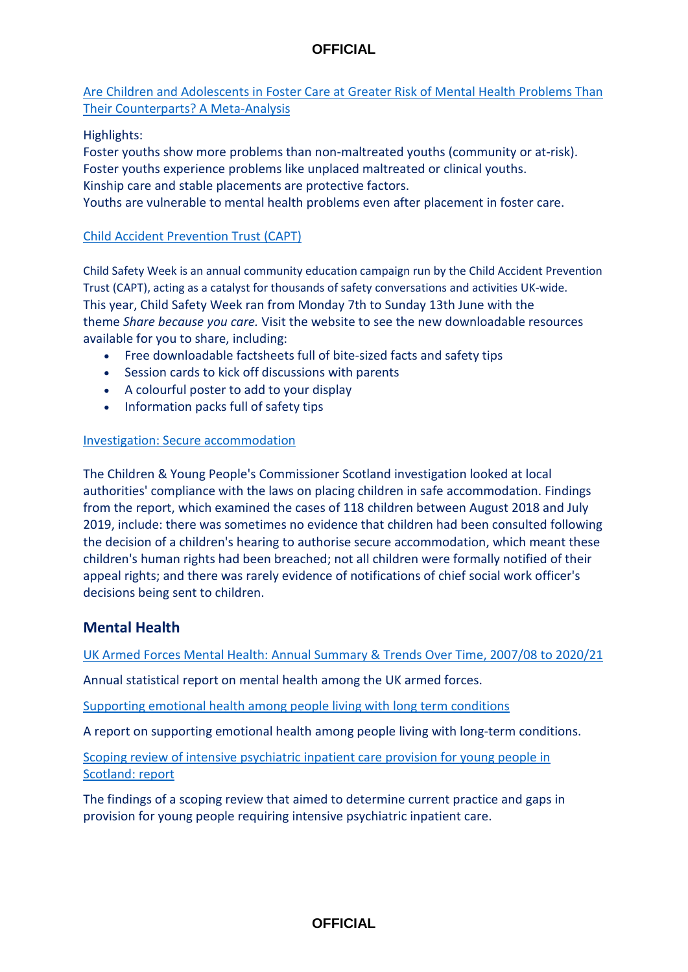## [Are Children and Adolescents in Foster Care at Greater Risk of Mental Health Problems Than](https://www.sciencedirect.com/science/article/pii/S0190740921001766?via%3Dihub)  [Their Counterparts? A Meta-Analysis](https://www.sciencedirect.com/science/article/pii/S0190740921001766?via%3Dihub)

## Highlights:

Foster youths show more problems than non-maltreated youths (community or at-risk). Foster youths experience problems like unplaced maltreated or clinical youths. Kinship care and stable placements are protective factors. Youths are vulnerable to mental health problems even after placement in foster care.

## [Child Accident Prevention Trust \(CAPT\)](https://www.capt.org.uk/Pages/Category/child-safety-week)

Child Safety Week is an annual community education campaign run by the Child Accident Prevention Trust (CAPT), acting as a catalyst for thousands of safety conversations and activities UK-wide. This year, Child Safety Week ran from Monday 7th to Sunday 13th June with the theme *Share because you care.* Visit the website to see the new downloadable resources available for you to share, including:

- Free downloadable factsheets full of bite-sized facts and safety tips
- Session cards to kick off discussions with parents
- A colourful poster to add to your display
- Information packs full of safety tips

## [Investigation: Secure accommodation](https://cypcs.org.uk/investigations/investigation-secure-accommodation/)

The Children & Young People's Commissioner Scotland investigation looked at local authorities' compliance with the laws on placing children in safe accommodation. Findings from the report, which examined the cases of 118 children between August 2018 and July 2019, include: there was sometimes no evidence that children had been consulted following the decision of a children's hearing to authorise secure accommodation, which meant these children's human rights had been breached; not all children were formally notified of their appeal rights; and there was rarely evidence of notifications of chief social work officer's decisions being sent to children.

## **Mental Health**

[UK Armed Forces Mental Health: Annual Summary & Trends Over Time, 2007/08 to 2020/21](https://assets.publishing.service.gov.uk/government/uploads/system/uploads/attachment_data/file/993208/20210617_MH_Annual_Report_2020-21.pdf)

Annual statistical report on mental health among the UK armed forces.

[Supporting emotional health among people living with long term conditions](https://www.centreformentalhealth.org.uk/publications/ask-how-i-am)

A report on supporting emotional health among people living with long-term conditions.

[Scoping review of intensive psychiatric inpatient care provision for young people in](https://www.gov.scot/publications/report-scoping-review-intensive-psychiatric-inpatient-care-provision-young-people-scotland/)  [Scotland: report](https://www.gov.scot/publications/report-scoping-review-intensive-psychiatric-inpatient-care-provision-young-people-scotland/)

The findings of a scoping review that aimed to determine current practice and gaps in provision for young people requiring intensive psychiatric inpatient care.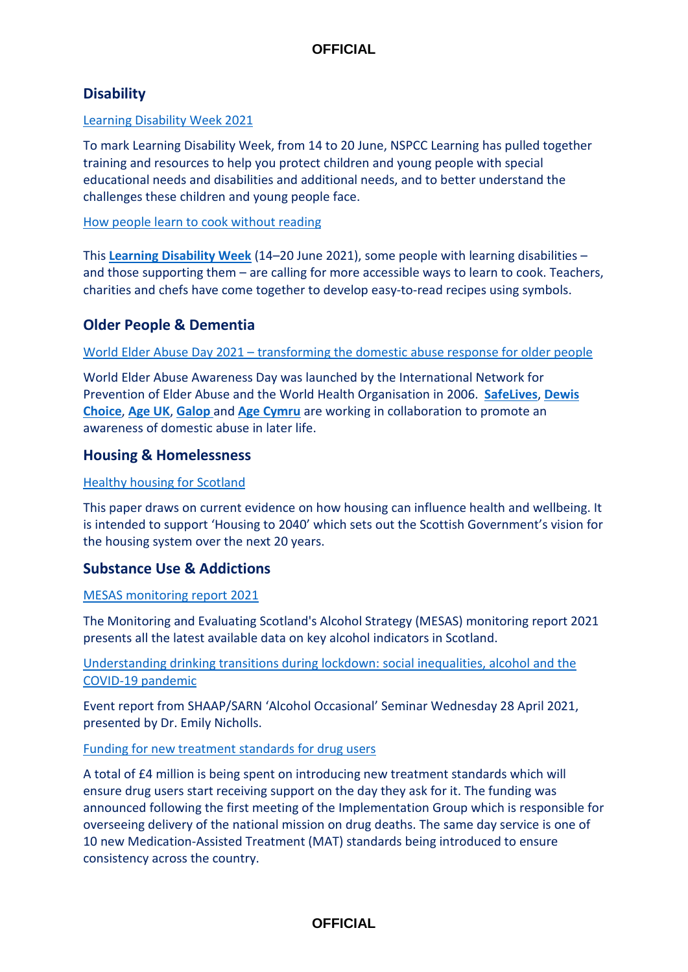# **Disability**

### [Learning Disability Week 2021](https://learning.nspcc.org.uk/news/awareness/learning-disability-week-2021)

To mark Learning Disability Week, from 14 to 20 June, NSPCC Learning has pulled together training and resources to help you protect children and young people with special educational needs and disabilities and additional needs, and to better understand the challenges these children and young people face.

### [How people learn to cook without reading](https://www.bbc.co.uk/food/articles/learning_disabilities_recipes?xtor=CS8-1000-%5BPromo_Box%5D-%5BNews_Promo%5D-%5BNews_Promo%5D-%5BPS_FOOD%7EN%7E%7EP_Howtocookwithoutreading%5D)

This **[Learning Disability Week](https://www.mencap.org.uk/get-involved/learning-disability-week-2021)** (14–20 June 2021), some people with learning disabilities – and those supporting them – are calling for more accessible ways to learn to cook. Teachers, charities and chefs have come together to develop easy-to-read recipes using symbols.

## **Older People & Dementia**

## World Elder Abuse Day 2021 – [transforming the domestic abuse response for older people](https://safelives.org.uk/world-elder-abuse-awareness-day/2021)

World Elder Abuse Awareness Day was launched by the International Network for Prevention of Elder Abuse and the World Health Organisation in 2006. **[SafeLives](https://safelives.org.uk/)**, **[Dewis](https://dewischoice.org.uk/)  [Choice](https://dewischoice.org.uk/)**, **[Age UK](https://www.ageuk.org.uk/)**, **[Galop](http://www.galop.org.uk/)** and **[Age Cymru](https://www.ageuk.org.uk/cymru/)** are working in collaboration to promote an awareness of domestic abuse in later life.

## **Housing & Homelessness**

### [Healthy housing for Scotland](https://www.publichealthscotland.scot/publications/healthy-housing-for-scotland/)

This paper draws on current evidence on how housing can influence health and wellbeing. It is intended to support 'Housing to 2040' which sets out the Scottish Government's vision for the housing system over the next 20 years.

## **Substance Use & Addictions**

#### [MESAS monitoring report 2021](https://www.publichealthscotland.scot/publications/mesas-monitoring-report-2021/)

The Monitoring and Evaluating Scotland's Alcohol Strategy (MESAS) monitoring report 2021 presents all the latest available data on key alcohol indicators in Scotland.

## [Understanding drinking transitions during lockdown: social inequalities, alcohol and the](https://www.shaap.org.uk/images/shaap-occasionals-nicholls.pdf)  [COVID-19 pandemic](https://www.shaap.org.uk/images/shaap-occasionals-nicholls.pdf)

Event report from SHAAP/SARN 'Alcohol Occasional' Seminar Wednesday 28 April 2021, presented by Dr. Emily Nicholls.

#### [Funding for new treatment standards for drug users](https://www.gov.scot/news/funding-for-new-treatment-standards-for-drug-users/)

A total of £4 million is being spent on introducing new treatment standards which will ensure drug users start receiving support on the day they ask for it. The funding was announced following the first meeting of the Implementation Group which is responsible for overseeing delivery of the national mission on drug deaths. The same day service is one of 10 new Medication-Assisted Treatment (MAT) standards being introduced to ensure consistency across the country.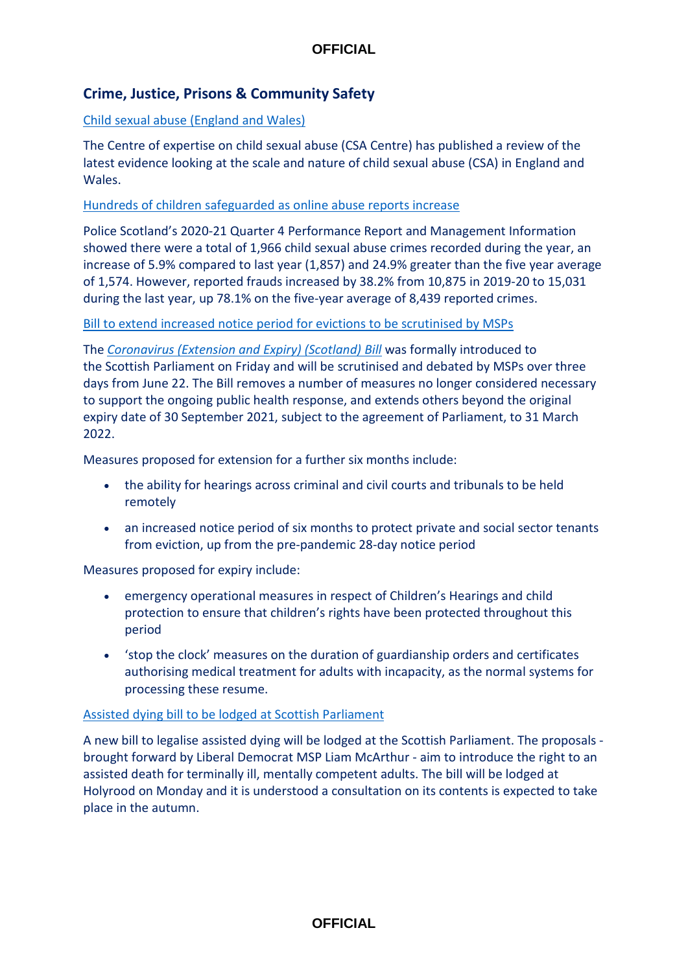# **Crime, Justice, Prisons & Community Safety**

## [Child sexual abuse \(England and Wales\)](https://www.csacentre.org.uk/documents/scale-nature-review-evidence-0621/)

The Centre of expertise on child sexual abuse (CSA Centre) has published a review of the latest evidence looking at the scale and nature of child sexual abuse (CSA) in England and Wales.

[Hundreds of children safeguarded as online abuse reports increase](https://www.scotland.police.uk/what-s-happening/news/2021/june/hundreds-of-children-safeguarded-as-online-abuse-reports-increase/)

Police Scotland's 2020-21 Quarter 4 Performance Report and Management Information showed there were a total of 1,966 child sexual abuse crimes recorded during the year, an increase of 5.9% compared to last year (1,857) and 24.9% greater than the five year average of 1,574. However, reported frauds increased by 38.2% from 10,875 in 2019-20 to 15,031 during the last year, up 78.1% on the five-year average of 8,439 reported crimes.

#### [Bill to extend increased notice period for evictions to be scrutinised by MSPs](https://www.scottishhousingnews.com/article/bill-to-extend-increased-notice-period-for-evictions-to-be-scrutinised-by-msps)

The *[Coronavirus \(Extension and Expiry\) \(Scotland\) Bill](https://www.parliament.scot/bills-and-laws/bills/coronavirus-extension-and-expiry-scotland-bill/introduced)* was formally introduced to the Scottish Parliament on Friday and will be scrutinised and debated by MSPs over three days from June 22. The Bill removes a number of measures no longer considered necessary to support the ongoing public health response, and extends others beyond the original expiry date of 30 September 2021, subject to the agreement of Parliament, to 31 March 2022.

Measures proposed for extension for a further six months include:

- the ability for hearings across criminal and civil courts and tribunals to be held remotely
- an increased notice period of six months to protect private and social sector tenants from eviction, up from the pre-pandemic 28-day notice period

Measures proposed for expiry include:

- emergency operational measures in respect of Children's Hearings and child protection to ensure that children's rights have been protected throughout this period
- 'stop the clock' measures on the duration of guardianship orders and certificates authorising medical treatment for adults with incapacity, as the normal systems for processing these resume.

#### [Assisted dying bill to be lodged at Scottish Parliament](https://www.bbc.co.uk/news/uk-scotland-scotland-politics-57541231)

A new bill to legalise assisted dying will be lodged at the Scottish Parliament. The proposals brought forward by Liberal Democrat MSP Liam McArthur - aim to introduce the right to an assisted death for terminally ill, mentally competent adults. The bill will be lodged at Holyrood on Monday and it is understood a consultation on its contents is expected to take place in the autumn.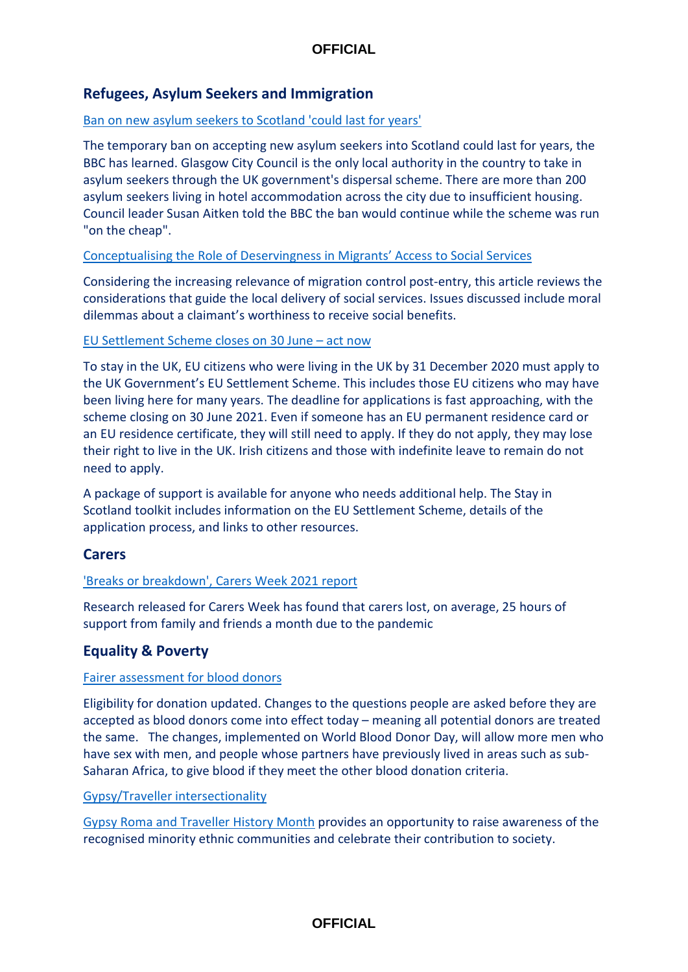# **Refugees, Asylum Seekers and Immigration**

### [Ban on new asylum seekers to Scotland 'could last for years'](https://www.bbc.co.uk/news/uk-scotland-glasgow-west-57448267)

The temporary ban on accepting new asylum seekers into Scotland could last for years, the BBC has learned. Glasgow City Council is the only local authority in the country to take in asylum seekers through the UK government's dispersal scheme. There are more than 200 asylum seekers living in hotel accommodation across the city due to insufficient housing. Council leader Susan Aitken told the BBC the ban would continue while the scheme was run "on the cheap".

## [Conceptualising the Role of Deservingness in Migrants' Access to Social Services](https://www.cambridge.org/core/journals/social-policy-and-society/article/conceptualising-the-role-of-deservingness-in-migrants-access-to-social-services/FCEB37567F156138F140789915B45096)

Considering the increasing relevance of migration control post-entry, this article reviews the considerations that guide the local delivery of social services. Issues discussed include moral dilemmas about a claimant's worthiness to receive social benefits.

## [EU Settlement Scheme closes on](https://www.mygov.scot/help-eu-citizens?utm_medium=email&utm_source=govdelivery) 30 June – act now

To stay in the UK, EU citizens who were living in the UK by 31 December 2020 must apply to the UK Government's EU Settlement Scheme. This includes those EU citizens who may have been living here for many years. The deadline for applications is fast approaching, with the scheme closing on 30 June 2021. Even if someone has an EU permanent residence card or an EU residence certificate, they will still need to apply. If they do not apply, they may lose their right to live in the UK. Irish citizens and those with indefinite leave to remain do not need to apply.

A package of support is available for anyone who needs additional help. The Stay in Scotland toolkit includes information on the EU Settlement Scheme, details of the application process, and links to other resources.

## **Carers**

## ['Breaks or breakdown', Carers Week 2021 report](https://www.carersuk.org/for-professionals/policy/policy-library/breaks-or-breakdown-carers-week-2021-report)

Research released for Carers Week has found that carers lost, on average, 25 hours of support from family and friends a month due to the pandemic

## **Equality & Poverty**

#### [Fairer assessment for blood donors](https://www.gov.scot/news/fairer-assessment-for-blood-donors/)

Eligibility for donation updated. Changes to the questions people are asked before they are accepted as blood donors come into effect today – meaning all potential donors are treated the same. The changes, implemented on World Blood Donor Day, will allow more men who have sex with men, and people whose partners have previously lived in areas such as sub-Saharan Africa, to give blood if they meet the other blood donation criteria.

#### Gypsy/Traveller [intersectionality](https://www.iriss.org.uk/resources/multimedia-learning-materials/gypsytraveller-intersectionality)

[Gypsy Roma and Traveller History Month](https://iriss.us1.list-manage.com/track/click?u=e34540dba79aceffd0e82ca00&id=0cedbf5564&e=3d2e1ef30b) provides an opportunity to raise awareness of the recognised minority ethnic communities and celebrate their contribution to society.